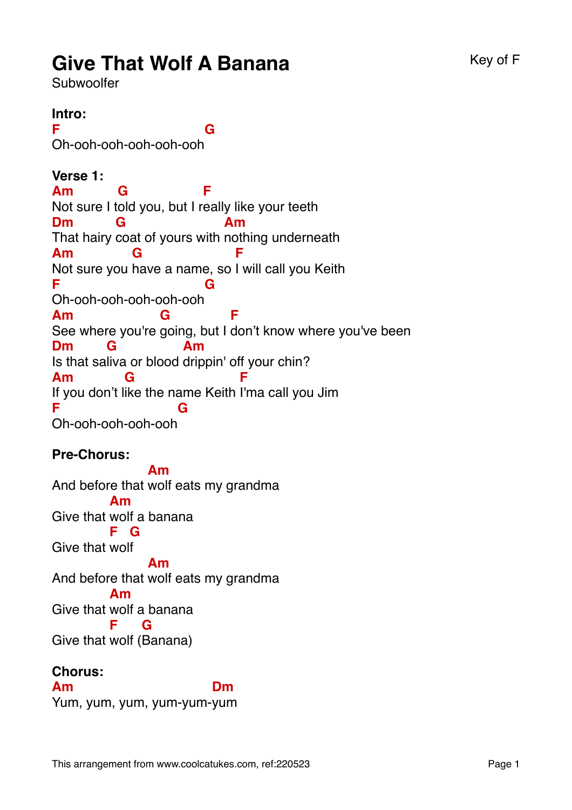# **Give That Wolf A Banana** Key of F

Subwoolfer

#### **Intro: F** Oh-ooh-ooh-ooh-ooh-ooh **G Verse 1: Am** Not sure I t old you, but I r eally like your teeth **G F Dm** That hairy coat of yours with nothing underneath **G Am Am** Not sure you have a name, so I will call you Keith **G F F** Oh-ooh-ooh-ooh-ooh-ooh **G Am** See where you're going, but I don't know where you've been **G F Dm** Is that sa liva or blood drippin' off your chin? **G Am Am** If you don't like the name Keith I'ma call you Jim **G F F G**

Oh-ooh-ooh-ooh-ooh

# **Pre-Chorus:**

And before that wolf eats my grandma **Am** Give that wolf a banana **Am** Give that wol f **F G** And before that wolf eats my grandma **Am** Give that wolf a banana **Am** Give that wolf ( Banana) **F G**

# **Chorus:**

**Am** Yum, yum, yum, yum-yum-yum**Dm**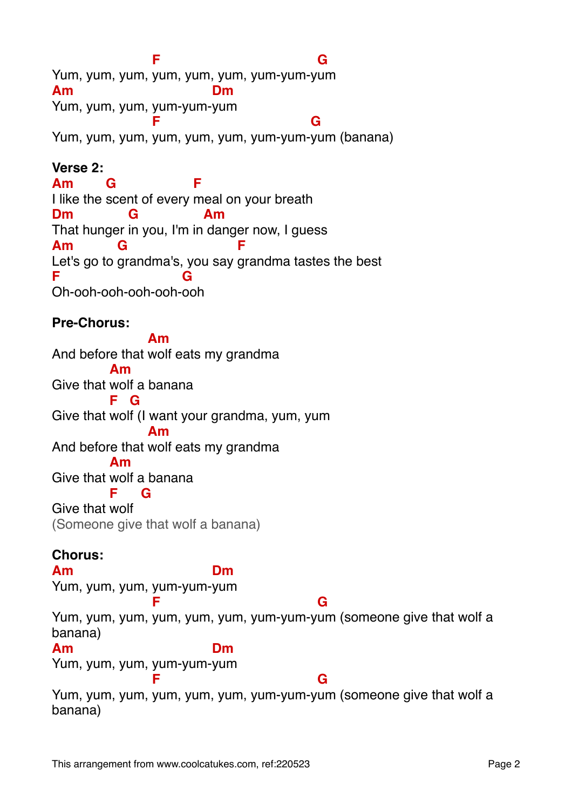Yum, yum, yum, yum, yum, yum, yum-yum-y um **F G Am** Yum, yum, yum, yum-yum-yum **Dm F G**

Yum, yum, yum, yum, yum, yum, yum-yum-yum (banana)

# **Verse 2:**

**Am** I like the scent of every meal on your breath **G F Dm** That hunger in you, I'm in danger now, I guess **G Am Am** Let's go to grandma's, you say grandma tastes the best **G F F** Oh-ooh-ooh-ooh-ooh-ooh **G**

## **Pre-Chorus:**

And before that wolf eats my grandma **Am** Give that wolf a banana **Am** Give that wol f (I want your grandma, yum, yum **F G** And before that wolf eats my grandma **Am** Give that wolf a banana **Am** Give that wolf **F G** (Someone give that wolf a banana) **Chorus: Am** Yum, yum, yum, yum-yum-yum **Dm** Yum, yum, yum, yum, yum, yum, yum-yum-y um (someone give that wolf a **F G** banana) **Am** Yum, yum, yum, yum-yum-yum **Dm** Yum, yum, yum, yum, yum, yum, yum-yum-y um (someone give that wolf a **F G** banana)